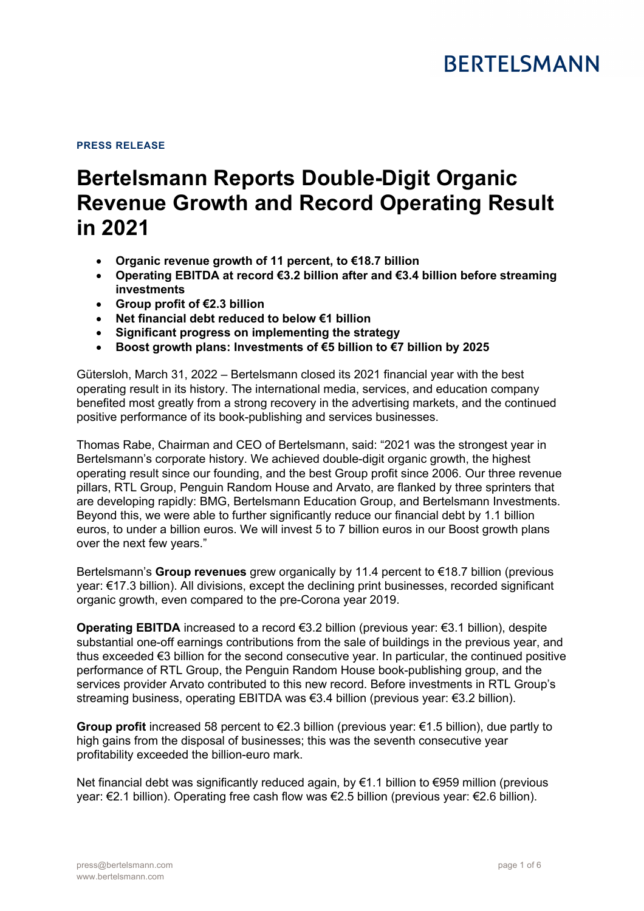# **BERTELSMANN**

#### **PRESS RELEASE**

# **Bertelsmann Reports Double-Digit Organic Revenue Growth and Record Operating Result in 2021**

- **Organic revenue growth of 11 percent, to €18.7 billion**
- **Operating EBITDA at record €3.2 billion after and €3.4 billion before streaming investments**
- **Group profit of €2.3 billion**
- **Net financial debt reduced to below €1 billion**
- **Significant progress on implementing the strategy**
- **Boost growth plans: Investments of €5 billion to €7 billion by 2025**

Gütersloh, March 31, 2022 – Bertelsmann closed its 2021 financial year with the best operating result in its history. The international media, services, and education company benefited most greatly from a strong recovery in the advertising markets, and the continued positive performance of its book-publishing and services businesses.

Thomas Rabe, Chairman and CEO of Bertelsmann, said: "2021 was the strongest year in Bertelsmann's corporate history. We achieved double-digit organic growth, the highest operating result since our founding, and the best Group profit since 2006. Our three revenue pillars, RTL Group, Penguin Random House and Arvato, are flanked by three sprinters that are developing rapidly: BMG, Bertelsmann Education Group, and Bertelsmann Investments. Beyond this, we were able to further significantly reduce our financial debt by 1.1 billion euros, to under a billion euros. We will invest 5 to 7 billion euros in our Boost growth plans over the next few years."

Bertelsmann's **Group revenues** grew organically by 11.4 percent to €18.7 billion (previous year: €17.3 billion). All divisions, except the declining print businesses, recorded significant organic growth, even compared to the pre-Corona year 2019.

**Operating EBITDA** increased to a record €3.2 billion (previous year: €3.1 billion), despite substantial one-off earnings contributions from the sale of buildings in the previous year, and thus exceeded €3 billion for the second consecutive year. In particular, the continued positive performance of RTL Group, the Penguin Random House book-publishing group, and the services provider Arvato contributed to this new record. Before investments in RTL Group's streaming business, operating EBITDA was €3.4 billion (previous year: €3.2 billion).

**Group profit** increased 58 percent to €2.3 billion (previous year: €1.5 billion), due partly to high gains from the disposal of businesses; this was the seventh consecutive year profitability exceeded the billion-euro mark.

Net financial debt was significantly reduced again, by €1.1 billion to €959 million (previous year: €2.1 billion). Operating free cash flow was €2.5 billion (previous year: €2.6 billion).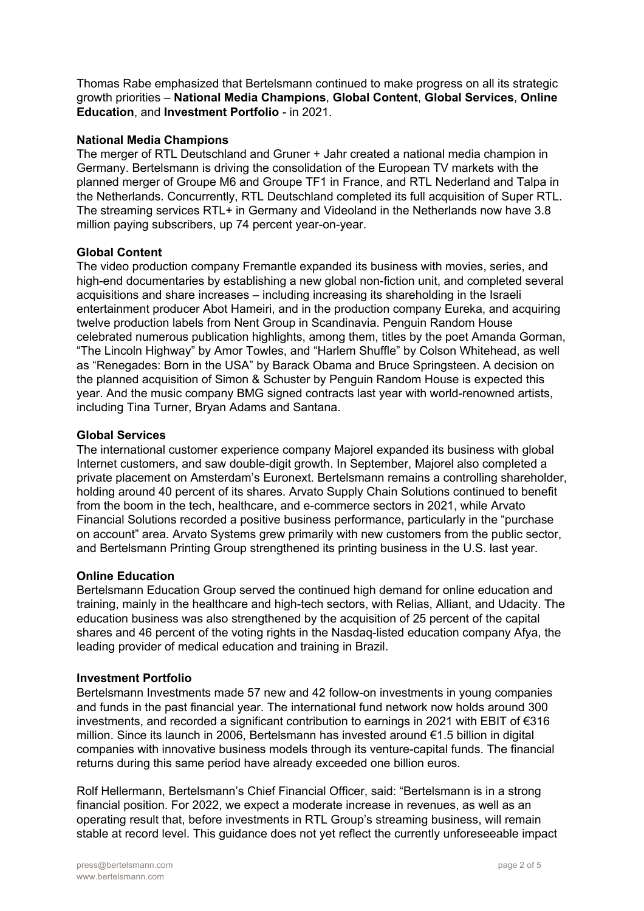Thomas Rabe emphasized that Bertelsmann continued to make progress on all its strategic growth priorities – **National Media Champions**, **Global Content**, **Global Services**, **Online Education**, and **Investment Portfolio** - in 2021.

# **National Media Champions**

The merger of RTL Deutschland and Gruner + Jahr created a national media champion in Germany. Bertelsmann is driving the consolidation of the European TV markets with the planned merger of Groupe M6 and Groupe TF1 in France, and RTL Nederland and Talpa in the Netherlands. Concurrently, RTL Deutschland completed its full acquisition of Super RTL. The streaming services RTL+ in Germany and Videoland in the Netherlands now have 3.8 million paying subscribers, up 74 percent year-on-year.

## **Global Content**

The video production company Fremantle expanded its business with movies, series, and high-end documentaries by establishing a new global non-fiction unit, and completed several acquisitions and share increases – including increasing its shareholding in the Israeli entertainment producer Abot Hameiri, and in the production company Eureka, and acquiring twelve production labels from Nent Group in Scandinavia. Penguin Random House celebrated numerous publication highlights, among them, titles by the poet Amanda Gorman, "The Lincoln Highway" by Amor Towles, and "Harlem Shuffle" by Colson Whitehead, as well as "Renegades: Born in the USA" by Barack Obama and Bruce Springsteen. A decision on the planned acquisition of Simon & Schuster by Penguin Random House is expected this year. And the music company BMG signed contracts last year with world-renowned artists, including Tina Turner, Bryan Adams and Santana.

## **Global Services**

The international customer experience company Majorel expanded its business with global Internet customers, and saw double-digit growth. In September, Majorel also completed a private placement on Amsterdam's Euronext. Bertelsmann remains a controlling shareholder, holding around 40 percent of its shares. Arvato Supply Chain Solutions continued to benefit from the boom in the tech, healthcare, and e-commerce sectors in 2021, while Arvato Financial Solutions recorded a positive business performance, particularly in the "purchase on account" area. Arvato Systems grew primarily with new customers from the public sector, and Bertelsmann Printing Group strengthened its printing business in the U.S. last year.

#### **Online Education**

Bertelsmann Education Group served the continued high demand for online education and training, mainly in the healthcare and high-tech sectors, with Relias, Alliant, and Udacity. The education business was also strengthened by the acquisition of 25 percent of the capital shares and 46 percent of the voting rights in the Nasdaq-listed education company Afya, the leading provider of medical education and training in Brazil.

#### **Investment Portfolio**

Bertelsmann Investments made 57 new and 42 follow-on investments in young companies and funds in the past financial year. The international fund network now holds around 300 investments, and recorded a significant contribution to earnings in 2021 with EBIT of €316 million. Since its launch in 2006, Bertelsmann has invested around €1.5 billion in digital companies with innovative business models through its venture-capital funds. The financial returns during this same period have already exceeded one billion euros.

Rolf Hellermann, Bertelsmann's Chief Financial Officer, said: "Bertelsmann is in a strong financial position. For 2022, we expect a moderate increase in revenues, as well as an operating result that, before investments in RTL Group's streaming business, will remain stable at record level. This guidance does not yet reflect the currently unforeseeable impact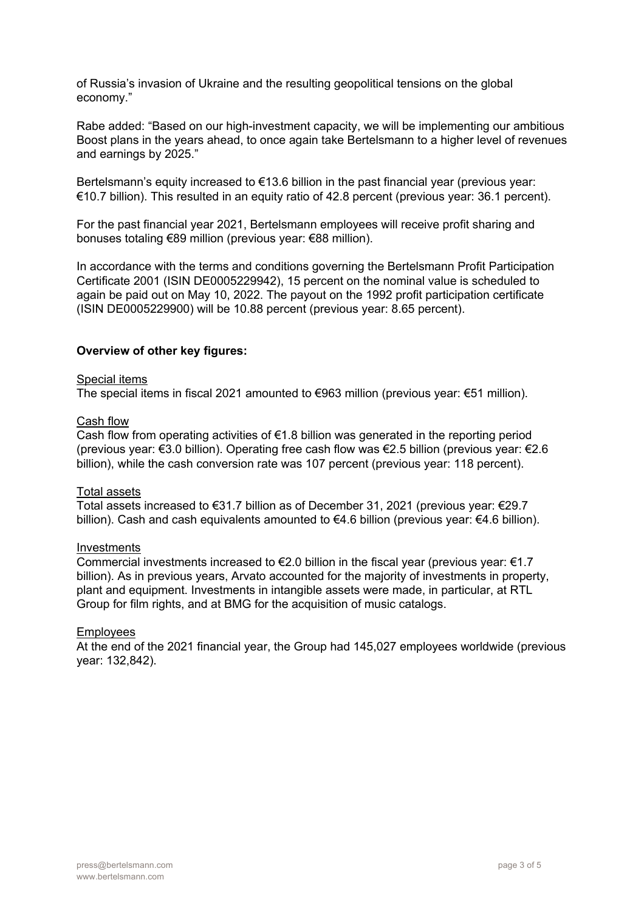of Russia's invasion of Ukraine and the resulting geopolitical tensions on the global economy."

Rabe added: "Based on our high-investment capacity, we will be implementing our ambitious Boost plans in the years ahead, to once again take Bertelsmann to a higher level of revenues and earnings by 2025."

Bertelsmann's equity increased to €13.6 billion in the past financial year (previous year: €10.7 billion). This resulted in an equity ratio of 42.8 percent (previous year: 36.1 percent).

For the past financial year 2021, Bertelsmann employees will receive profit sharing and bonuses totaling €89 million (previous year: €88 million).

In accordance with the terms and conditions governing the Bertelsmann Profit Participation Certificate 2001 (ISIN DE0005229942), 15 percent on the nominal value is scheduled to again be paid out on May 10, 2022. The payout on the 1992 profit participation certificate (ISIN DE0005229900) will be 10.88 percent (previous year: 8.65 percent).

## **Overview of other key figures:**

#### Special items

The special items in fiscal 2021 amounted to  $\epsilon$ 963 million (previous year:  $\epsilon$ 51 million).

#### Cash flow

Cash flow from operating activities of  $\epsilon$ 1.8 billion was generated in the reporting period (previous year: €3.0 billion). Operating free cash flow was €2.5 billion (previous year: €2.6 billion), while the cash conversion rate was 107 percent (previous year: 118 percent).

#### Total assets

Total assets increased to €31.7 billion as of December 31, 2021 (previous year: €29.7 billion). Cash and cash equivalents amounted to €4.6 billion (previous year: €4.6 billion).

#### Investments

Commercial investments increased to  $\epsilon$ 2.0 billion in the fiscal year (previous year:  $\epsilon$ 1.7 billion). As in previous years, Arvato accounted for the majority of investments in property, plant and equipment. Investments in intangible assets were made, in particular, at RTL Group for film rights, and at BMG for the acquisition of music catalogs.

#### **Employees**

At the end of the 2021 financial year, the Group had 145,027 employees worldwide (previous year: 132,842).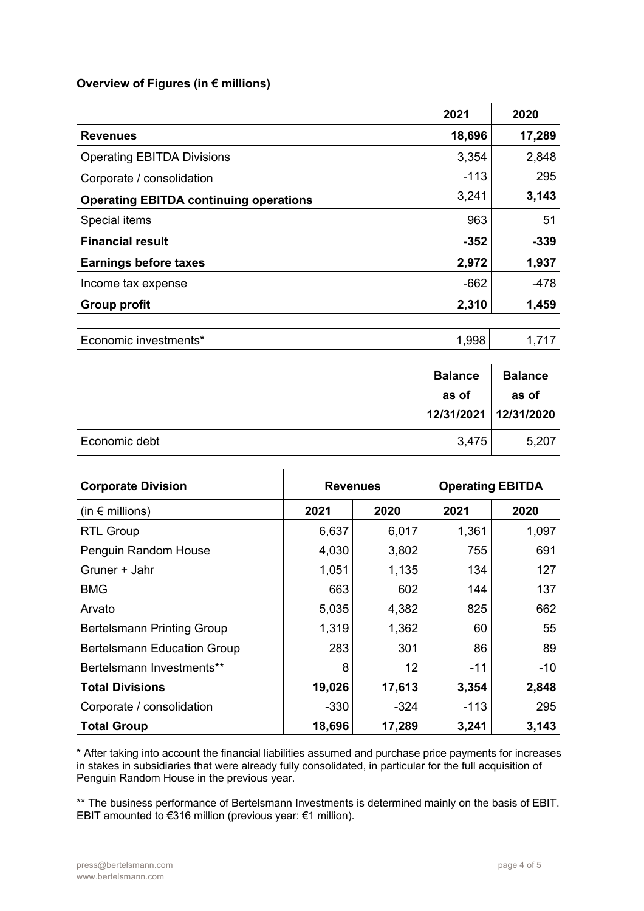# **Overview of Figures (in € millions)**

|                                               | 2021   | 2020   |
|-----------------------------------------------|--------|--------|
| <b>Revenues</b>                               | 18,696 | 17,289 |
| <b>Operating EBITDA Divisions</b>             | 3,354  | 2,848  |
| Corporate / consolidation                     | $-113$ | 295    |
| <b>Operating EBITDA continuing operations</b> | 3,241  | 3,143  |
| Special items                                 | 963    | 51     |
| <b>Financial result</b>                       | $-352$ | $-339$ |
| <b>Earnings before taxes</b>                  | 2,972  | 1,937  |
| Income tax expense                            | $-662$ | $-478$ |
| <b>Group profit</b>                           | 2,310  | 1,459  |
|                                               |        |        |
| Economic investments*                         | 1,998  | 1,717  |

|               | <b>Balance</b><br>as of<br>12/31/2021 12/31/2020 | <b>Balance</b><br>as of |
|---------------|--------------------------------------------------|-------------------------|
| Economic debt | 3,475                                            | 5,207                   |

| <b>Corporate Division</b>          | <b>Revenues</b> |        | <b>Operating EBITDA</b> |       |
|------------------------------------|-----------------|--------|-------------------------|-------|
| (in $\epsilon$ millions)           | 2021            | 2020   | 2021                    | 2020  |
| <b>RTL Group</b>                   | 6,637           | 6,017  | 1,361                   | 1,097 |
| Penguin Random House               | 4,030           | 3,802  | 755                     | 691   |
| Gruner + Jahr                      | 1,051           | 1,135  | 134                     | 127   |
| <b>BMG</b>                         | 663             | 602    | 144                     | 137   |
| Arvato                             | 5,035           | 4,382  | 825                     | 662   |
| <b>Bertelsmann Printing Group</b>  | 1,319           | 1,362  | 60                      | 55    |
| <b>Bertelsmann Education Group</b> | 283             | 301    | 86                      | 89    |
| Bertelsmann Investments**          | 8               | 12     | $-11$                   | -10   |
| <b>Total Divisions</b>             | 19,026          | 17,613 | 3,354                   | 2,848 |
| Corporate / consolidation          | $-330$          | -324   | $-113$                  | 295   |
| <b>Total Group</b>                 | 18,696          | 17,289 | 3,241                   | 3,143 |

\* After taking into account the financial liabilities assumed and purchase price payments for increases in stakes in subsidiaries that were already fully consolidated, in particular for the full acquisition of Penguin Random House in the previous year.

\*\* The business performance of Bertelsmann Investments is determined mainly on the basis of EBIT. EBIT amounted to €316 million (previous year: €1 million).